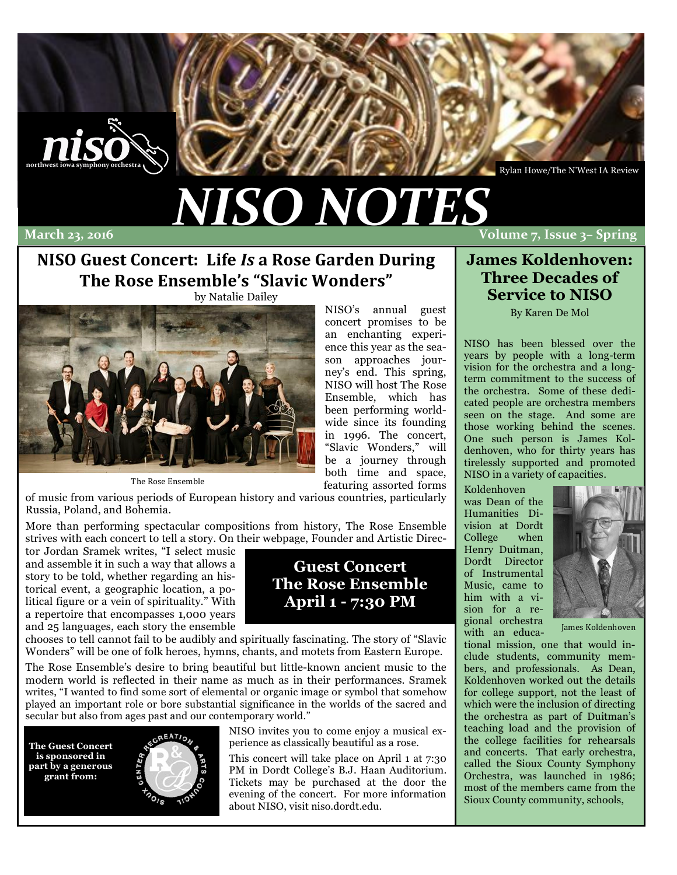

Rylan Howe/The N'West IA Review

# *NISO%NOTES*

### March 23, 2016

#### **Volume&7,&Issue&3– Spring**

# **NISO Guest Concert: Life Is a Rose Garden During The Rose Ensemble's "Slavic Wonders"**

by Natalie Dailey



The Rose Ensemble

NISO's annual guest concert promises to be an enchanting experience this year as the season approaches journey's end. This spring, NISO will host The Rose Ensemble, which has been performing worldwide since its founding in 1996. The concert, "Slavic Wonders," will be a journey through both time and space, featuring assorted forms

of music from various periods of European history and various countries, particularly Russia, Poland, and Bohemia.

More than performing spectacular compositions from history, The Rose Ensemble strives with each concert to tell a story. On their webpage, Founder and Artistic Direc-

tor Jordan Sramek writes, "I select music and assemble it in such a way that allows a story to be told, whether regarding an historical event, a geographic location, a political figure or a vein of spirituality." With a repertoire that encompasses 1,000 years and 25 languages, each story the ensemble

chooses to tell cannot fail to be audibly and spiritually fascinating. The story of "Slavic Wonders" will be one of folk heroes, hymns, chants, and motets from Eastern Europe.

The Rose Ensemble's desire to bring beautiful but little-known ancient music to the modern world is reflected in their name as much as in their performances. Sramek writes, "I wanted to find some sort of elemental or organic image or symbol that somehow played an important role or bore substantial significance in the worlds of the sacred and secular but also from ages past and our contemporary world."

**The Guest Concert is sponsored in part by a generous grant from:**



NISO invites you to come enjoy a musical experience as classically beautiful as a rose.

**Guest Concert The Rose Ensemble April 1 - 7:30 PM**

This concert will take place on April 1 at 7:30 PM in Dordt College's B.J. Haan Auditorium. Tickets may be purchased at the door the evening of the concert. For more information about NISO, visit niso.dordt.edu.

### **James Koldenhoven: Three Decades of Service to NISO**

By Karen De Mol

NISO has been blessed over the years by people with a long-term vision for the orchestra and a longterm commitment to the success of the orchestra. Some of these dedicated people are orchestra members seen on the stage. And some are those working behind the scenes. One such person is James Koldenhoven, who for thirty years has tirelessly supported and promoted NISO in a variety of capacities.

Koldenhoven was Dean of the Humanities Division at Dordt College when Henry Duitman, Dordt Director of Instrumental Music, came to him with a vision for a regional orchestra with an educa-



James Koldenhoven

tional mission, one that would include students, community members, and professionals. As Dean, Koldenhoven worked out the details for college support, not the least of which were the inclusion of directing the orchestra as part of Duitman's teaching load and the provision of the college facilities for rehearsals and concerts. That early orchestra, called the Sioux County Symphony Orchestra, was launched in 1986; most of the members came from the Sioux County community, schools,